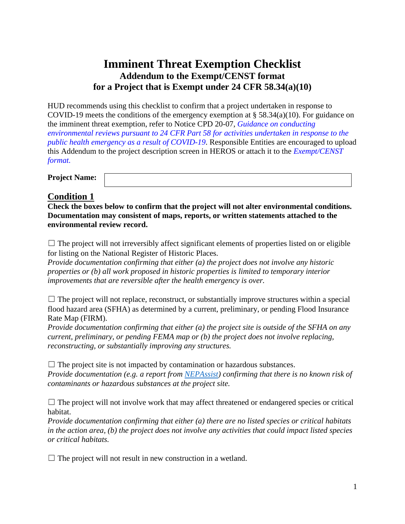## **Imminent Threat Exemption Checklist Addendum to the Exempt/CENST format for a Project that is Exempt under 24 CFR 58.34(a)(10)**

HUD recommends using this checklist to confirm that a project undertaken in response to COVID-19 meets the conditions of the emergency exemption at  $\S 58.34(a)(10)$ . For guidance on the imminent threat exemption, refer to Notice CPD 20-07, *[Guidance on conducting](https://www.hud.gov/sites/dfiles/OCHCO/documents/2020-07cpdn.pdf)  environmental reviews [pursuant to 24 CFR Part 58 for activities undertaken in response to the](https://www.hud.gov/sites/dfiles/OCHCO/documents/2020-07cpdn.pdf)  [public health emergency as a result of COVID-19](https://www.hud.gov/sites/dfiles/OCHCO/documents/2020-07cpdn.pdf)*. Responsible Entities are encouraged to upload this Addendum to the project description screen in HEROS or attach it to the *[Exempt/CENST](https://www.hudexchange.info/resource/3141/part-58-environmental-review-exempt-or-censt-format/)  [format.](https://www.hudexchange.info/resource/3141/part-58-environmental-review-exempt-or-censt-format/)* 

| <b>Project Name:</b> |  |
|----------------------|--|
|                      |  |

## **Condition 1**

**Check the boxes below to confirm that the project will not alter environmental conditions. Documentation may consistent of maps, reports, or written statements attached to the environmental review record.** 

 $\Box$  The project will not irreversibly affect significant elements of properties listed on or eligible for listing on the National Register of Historic Places.

*Provide documentation confirming that either (a) the project does not involve any historic properties or (b) all work proposed in historic properties is limited to temporary interior improvements that are reversible after the health emergency is over.* 

 $\Box$  The project will not replace, reconstruct, or substantially improve structures within a special flood hazard area (SFHA) as determined by a current, preliminary, or pending Flood Insurance Rate Map (FIRM).

*Provide documentation confirming that either (a) the project site is outside of the SFHA on any current, preliminary, or pending FEMA map or (b) the project does not involve replacing, reconstructing, or substantially improving any structures.* 

 $\Box$  The project site is not impacted by contamination or hazardous substances.

*Provide documentation (e.g. a report from [NEPAssist\)](https://www.epa.gov/nepa/nepassist) confirming that there is no known risk of contaminants or hazardous substances at the project site.* 

 $\Box$  The project will not involve work that may affect threatened or endangered species or critical habitat.

*Provide documentation confirming that either (a) there are no listed species or critical habitats in the action area, (b) the project does not involve any activities that could impact listed species or critical habitats.* 

 $\Box$  The project will not result in new construction in a wetland.